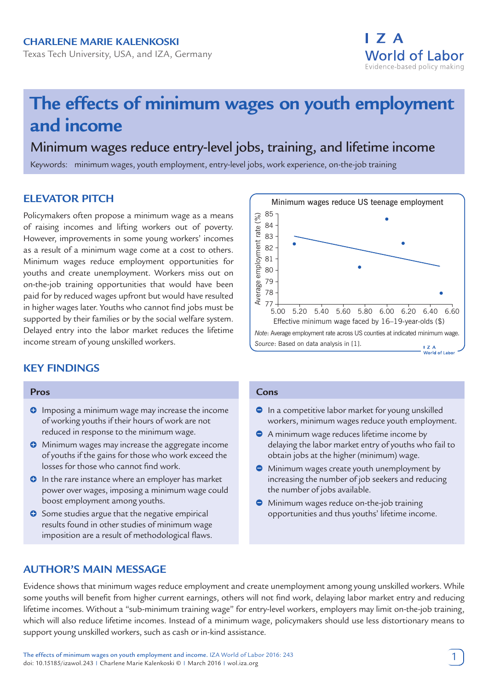## **Charlene Marie Kalenkoski**

Texas Tech University, USA, and IZA, Germany



# **The effects of minimum wages on youth employment and income**

# Minimum wages reduce entry-level jobs, training, and lifetime income

Keywords: minimum wages, youth employment, entry-level jobs, work experience, on-the-job training

## **ELEVATOR PITCH**

Policymakers often propose a minimum wage as a means of raising incomes and lifting workers out of poverty. However, improvements in some young workers' incomes as a result of a minimum wage come at a cost to others. Minimum wages reduce employment opportunities for youths and create unemployment. Workers miss out on on-the-job training opportunities that would have been paid for by reduced wages upfront but would have resulted in higher wages later. Youths who cannot find jobs must be supported by their families or by the social welfare system. Delayed entry into the labor market reduces the lifetime income stream of young unskilled workers.

## **KEY FINDINGS**

#### **Pros**

- **O** Imposing a minimum wage may increase the income of working youths if their hours of work are not reduced in response to the minimum wage.
- **O** Minimum wages may increase the aggregate income of youths if the gains for those who work exceed the losses for those who cannot find work.
- **O** In the rare instance where an employer has market power over wages, imposing a minimum wage could boost employment among youths.
- **O** Some studies argue that the negative empirical results found in other studies of minimum wage imposition are a result of methodological flaws.

#### Minimum wages reduce US teenage employment 85 Average employment rate (%) Average employment rate (%) 84 83 82 81 80 79 78 77 5.20 5.40 5.60 5.00 5.80 6.00 6.20 6.40 6.60 Effective minimum wage faced by 16–19-year-olds (\$) *Note*: Average employment rate across US counties at indicated minimum wage. *Source*: Based on data analysis in [1].  $\overline{I}$  Z A World of Labor

#### **Cons**

- $\bullet$  In a competitive labor market for young unskilled workers, minimum wages reduce youth employment.
- A minimum wage reduces lifetime income by delaying the labor market entry of youths who fail to obtain jobs at the higher (minimum) wage.
- **•** Minimum wages create youth unemployment by increasing the number of job seekers and reducing the number of jobs available.
- **•** Minimum wages reduce on-the-job training opportunities and thus youths' lifetime income.

## **AUTHOR'S MAIN MESSAGE**

Evidence shows that minimum wages reduce employment and create unemployment among young unskilled workers. While some youths will benefit from higher current earnings, others will not find work, delaying labor market entry and reducing lifetime incomes. Without a "sub-minimum training wage" for entry-level workers, employers may limit on-the-job training, which will also reduce lifetime incomes. Instead of a minimum wage, policymakers should use less distortionary means to support young unskilled workers, such as cash or in-kind assistance.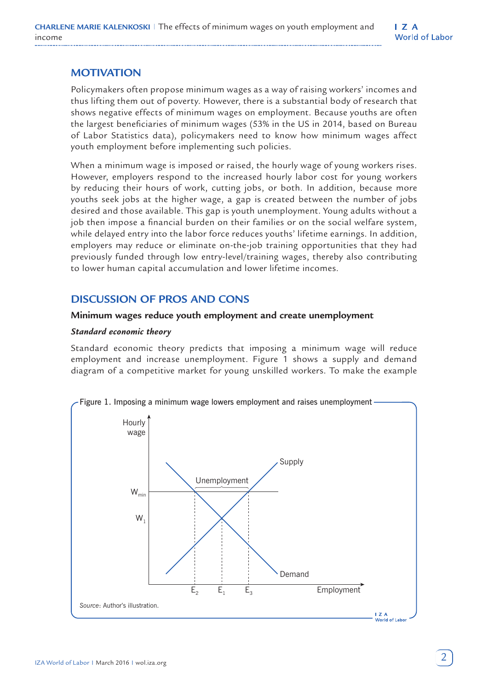# **MOTIVATION**

Policymakers often propose minimum wages as a way of raising workers' incomes and thus lifting them out of poverty. However, there is a substantial body of research that shows negative effects of minimum wages on employment. Because youths are often the largest beneficiaries of minimum wages (53% in the US in 2014, based on Bureau of Labor Statistics data), policymakers need to know how minimum wages affect youth employment before implementing such policies.

When a minimum wage is imposed or raised, the hourly wage of young workers rises. However, employers respond to the increased hourly labor cost for young workers by reducing their hours of work, cutting jobs, or both. In addition, because more youths seek jobs at the higher wage, a gap is created between the number of jobs desired and those available. This gap is youth unemployment. Young adults without a job then impose a financial burden on their families or on the social welfare system, while delayed entry into the labor force reduces youths' lifetime earnings. In addition, employers may reduce or eliminate on-the-job training opportunities that they had previously funded through low entry-level/training wages, thereby also contributing to lower human capital accumulation and lower lifetime incomes.

# **DISCUSSION OF PROS AND CONS**

### **Minimum wages reduce youth employment and create unemployment**

### *Standard economic theory*

Standard economic theory predicts that imposing a minimum wage will reduce employment and increase unemployment. Figure 1 shows a supply and demand diagram of a competitive market for young unskilled workers. To make the example



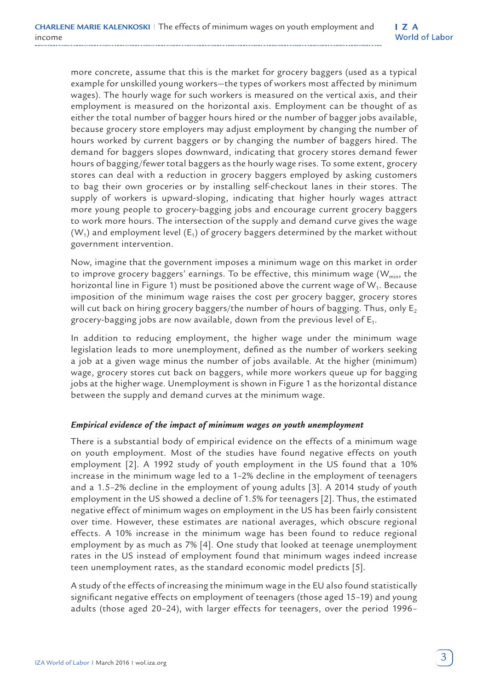more concrete, assume that this is the market for grocery baggers (used as a typical example for unskilled young workers—the types of workers most affected by minimum wages). The hourly wage for such workers is measured on the vertical axis, and their employment is measured on the horizontal axis. Employment can be thought of as either the total number of bagger hours hired or the number of bagger jobs available, because grocery store employers may adjust employment by changing the number of hours worked by current baggers or by changing the number of baggers hired. The demand for baggers slopes downward, indicating that grocery stores demand fewer hours of bagging/fewer total baggers as the hourly wage rises. To some extent, grocery stores can deal with a reduction in grocery baggers employed by asking customers to bag their own groceries or by installing self-checkout lanes in their stores. The supply of workers is upward-sloping, indicating that higher hourly wages attract more young people to grocery-bagging jobs and encourage current grocery baggers to work more hours. The intersection of the supply and demand curve gives the wage  $(W_1)$  and employment level  $(E_1)$  of grocery baggers determined by the market without government intervention.

Now, imagine that the government imposes a minimum wage on this market in order to improve grocery baggers' earnings. To be effective, this minimum wage  $(W_{min},$  the horizontal line in Figure 1) must be positioned above the current wage of  $W_1$ . Because imposition of the minimum wage raises the cost per grocery bagger, grocery stores will cut back on hiring grocery baggers/the number of hours of bagging. Thus, only  $E_2$ grocery-bagging jobs are now available, down from the previous level of  $E_1$ .

In addition to reducing employment, the higher wage under the minimum wage legislation leads to more unemployment, defined as the number of workers seeking a job at a given wage minus the number of jobs available. At the higher (minimum) wage, grocery stores cut back on baggers, while more workers queue up for bagging jobs at the higher wage. Unemployment is shown in Figure 1 as the horizontal distance between the supply and demand curves at the minimum wage.

#### *Empirical evidence of the impact of minimum wages on youth unemployment*

There is a substantial body of empirical evidence on the effects of a minimum wage on youth employment. Most of the studies have found negative effects on youth employment [2]. A 1992 study of youth employment in the US found that a 10% increase in the minimum wage led to a 1–2% decline in the employment of teenagers and a 1.5–2% decline in the employment of young adults [3]. A 2014 study of youth employment in the US showed a decline of 1.5% for teenagers [2]. Thus, the estimated negative effect of minimum wages on employment in the US has been fairly consistent over time. However, these estimates are national averages, which obscure regional effects. A 10% increase in the minimum wage has been found to reduce regional employment by as much as 7% [4]. One study that looked at teenage unemployment rates in the US instead of employment found that minimum wages indeed increase teen unemployment rates, as the standard economic model predicts [5].

A study of the effects of increasing the minimum wage in the EU also found statistically significant negative effects on employment of teenagers (those aged 15–19) and young adults (those aged 20–24), with larger effects for teenagers, over the period 1996–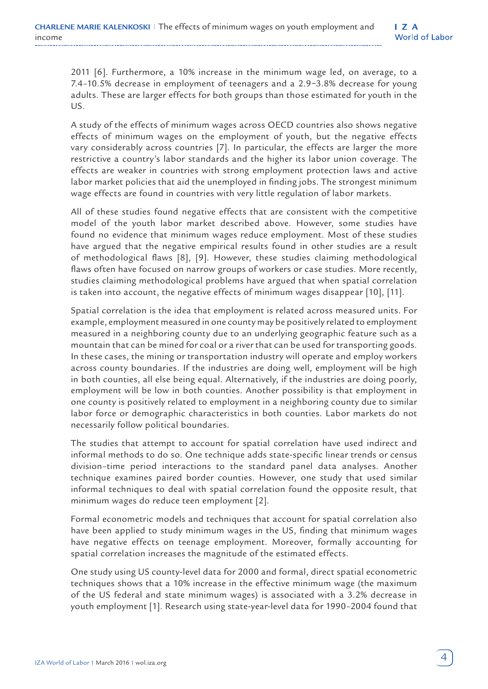2011 [6]. Furthermore, a 10% increase in the minimum wage led, on average, to a 7.4–10.5% decrease in employment of teenagers and a 2.9−3.8% decrease for young adults. These are larger effects for both groups than those estimated for youth in the US.

A study of the effects of minimum wages across OECD countries also shows negative effects of minimum wages on the employment of youth, but the negative effects vary considerably across countries [7]. In particular, the effects are larger the more restrictive a country's labor standards and the higher its labor union coverage. The effects are weaker in countries with strong employment protection laws and active labor market policies that aid the unemployed in finding jobs. The strongest minimum wage effects are found in countries with very little regulation of labor markets.

All of these studies found negative effects that are consistent with the competitive model of the youth labor market described above. However, some studies have found no evidence that minimum wages reduce employment. Most of these studies have argued that the negative empirical results found in other studies are a result of methodological flaws [8], [9]. However, these studies claiming methodological flaws often have focused on narrow groups of workers or case studies. More recently, studies claiming methodological problems have argued that when spatial correlation is taken into account, the negative effects of minimum wages disappear [10], [11].

Spatial correlation is the idea that employment is related across measured units. For example, employment measured in one county may be positively related to employment measured in a neighboring county due to an underlying geographic feature such as a mountain that can be mined for coal or a river that can be used for transporting goods. In these cases, the mining or transportation industry will operate and employ workers across county boundaries. If the industries are doing well, employment will be high in both counties, all else being equal. Alternatively, if the industries are doing poorly, employment will be low in both counties. Another possibility is that employment in one county is positively related to employment in a neighboring county due to similar labor force or demographic characteristics in both counties. Labor markets do not necessarily follow political boundaries.

The studies that attempt to account for spatial correlation have used indirect and informal methods to do so. One technique adds state-specific linear trends or census division–time period interactions to the standard panel data analyses. Another technique examines paired border counties. However, one study that used similar informal techniques to deal with spatial correlation found the opposite result, that minimum wages do reduce teen employment [2].

Formal econometric models and techniques that account for spatial correlation also have been applied to study minimum wages in the US, finding that minimum wages have negative effects on teenage employment. Moreover, formally accounting for spatial correlation increases the magnitude of the estimated effects.

One study using US county-level data for 2000 and formal, direct spatial econometric techniques shows that a 10% increase in the effective minimum wage (the maximum of the US federal and state minimum wages) is associated with a 3.2% decrease in youth employment [1]. Research using state-year-level data for 1990–2004 found that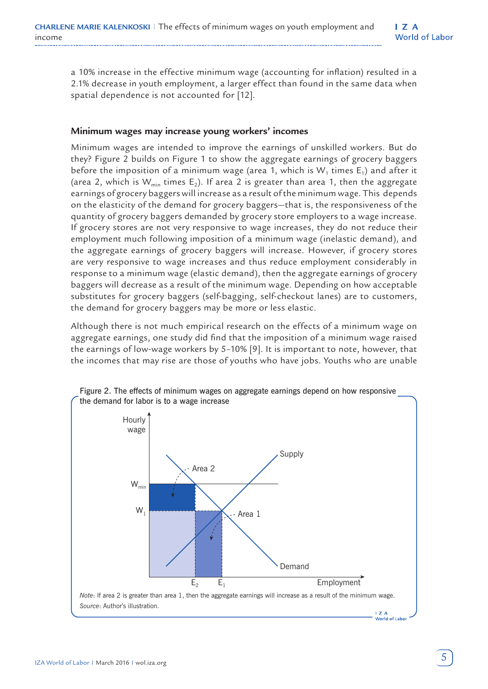a 10% increase in the effective minimum wage (accounting for inflation) resulted in a 2.1% decrease in youth employment, a larger effect than found in the same data when spatial dependence is not accounted for [12].

#### **Minimum wages may increase young workers' incomes**

Minimum wages are intended to improve the earnings of unskilled workers. But do they? Figure 2 builds on Figure 1 to show the aggregate earnings of grocery baggers before the imposition of a minimum wage (area 1, which is  $W_1$  times  $E_1$ ) and after it (area 2, which is  $W_{min}$  times  $E_2$ ). If area 2 is greater than area 1, then the aggregate earnings of grocery baggers will increase as a result of the minimum wage. This depends on the elasticity of the demand for grocery baggers—that is, the responsiveness of the quantity of grocery baggers demanded by grocery store employers to a wage increase. If grocery stores are not very responsive to wage increases, they do not reduce their employment much following imposition of a minimum wage (inelastic demand), and the aggregate earnings of grocery baggers will increase. However, if grocery stores are very responsive to wage increases and thus reduce employment considerably in response to a minimum wage (elastic demand), then the aggregate earnings of grocery baggers will decrease as a result of the minimum wage. Depending on how acceptable substitutes for grocery baggers (self-bagging, self-checkout lanes) are to customers, the demand for grocery baggers may be more or less elastic.

Although there is not much empirical research on the effects of a minimum wage on aggregate earnings, one study did find that the imposition of a minimum wage raised the earnings of low-wage workers by 5–10% [9]. It is important to note, however, that the incomes that may rise are those of youths who have jobs. Youths who are unable

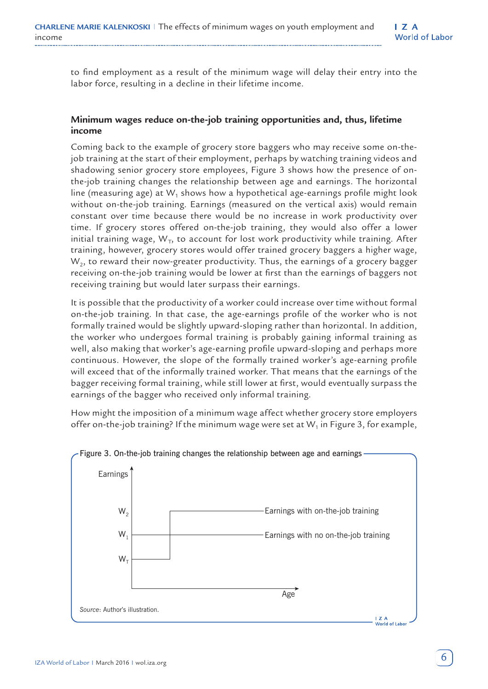to find employment as a result of the minimum wage will delay their entry into the labor force, resulting in a decline in their lifetime income.

### **Minimum wages reduce on-the-job training opportunities and, thus, lifetime income**

Coming back to the example of grocery store baggers who may receive some on-thejob training at the start of their employment, perhaps by watching training videos and shadowing senior grocery store employees, Figure 3 shows how the presence of onthe-job training changes the relationship between age and earnings. The horizontal line (measuring age) at  $W_1$  shows how a hypothetical age-earnings profile might look without on-the-job training. Earnings (measured on the vertical axis) would remain constant over time because there would be no increase in work productivity over time. If grocery stores offered on-the-job training, they would also offer a lower initial training wage,  $W_T$ , to account for lost work productivity while training. After training, however, grocery stores would offer trained grocery baggers a higher wage,  $W<sub>2</sub>$ , to reward their now-greater productivity. Thus, the earnings of a grocery bagger receiving on-the-job training would be lower at first than the earnings of baggers not receiving training but would later surpass their earnings.

It is possible that the productivity of a worker could increase over time without formal on-the-job training. In that case, the age-earnings profile of the worker who is not formally trained would be slightly upward-sloping rather than horizontal. In addition, the worker who undergoes formal training is probably gaining informal training as well, also making that worker's age-earning profile upward-sloping and perhaps more continuous. However, the slope of the formally trained worker's age-earning profile will exceed that of the informally trained worker. That means that the earnings of the bagger receiving formal training, while still lower at first, would eventually surpass the earnings of the bagger who received only informal training.

How might the imposition of a minimum wage affect whether grocery store employers offer on-the-job training? If the minimum wage were set at  $W_1$  in Figure 3, for example,



#### Figure 3. On-the-job training changes the relationship between age and earnings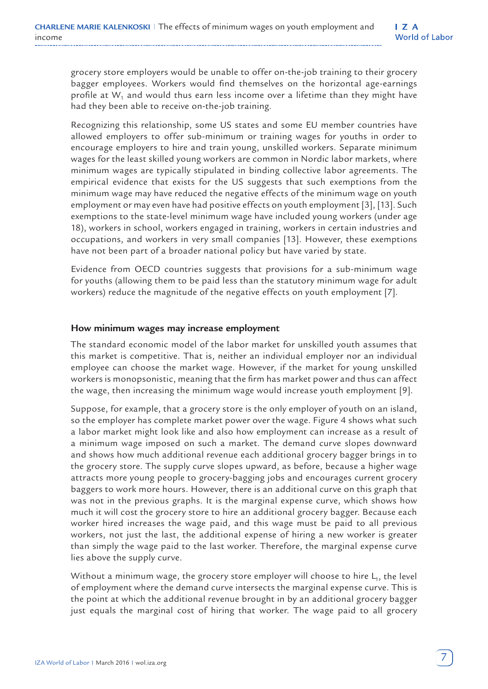grocery store employers would be unable to offer on-the-job training to their grocery bagger employees. Workers would find themselves on the horizontal age-earnings profile at  $W_1$  and would thus earn less income over a lifetime than they might have had they been able to receive on-the-job training.

Recognizing this relationship, some US states and some EU member countries have allowed employers to offer sub-minimum or training wages for youths in order to encourage employers to hire and train young, unskilled workers. Separate minimum wages for the least skilled young workers are common in Nordic labor markets, where minimum wages are typically stipulated in binding collective labor agreements. The empirical evidence that exists for the US suggests that such exemptions from the minimum wage may have reduced the negative effects of the minimum wage on youth employment or may even have had positive effects on youth employment [3], [13]. Such exemptions to the state-level minimum wage have included young workers (under age 18), workers in school, workers engaged in training, workers in certain industries and occupations, and workers in very small companies [13]. However, these exemptions have not been part of a broader national policy but have varied by state.

Evidence from OECD countries suggests that provisions for a sub-minimum wage for youths (allowing them to be paid less than the statutory minimum wage for adult workers) reduce the magnitude of the negative effects on youth employment [7].

#### **How minimum wages may increase employment**

The standard economic model of the labor market for unskilled youth assumes that this market is competitive. That is, neither an individual employer nor an individual employee can choose the market wage. However, if the market for young unskilled workers is monopsonistic, meaning that the firm has market power and thus can affect the wage, then increasing the minimum wage would increase youth employment [9].

Suppose, for example, that a grocery store is the only employer of youth on an island, so the employer has complete market power over the wage. Figure 4 shows what such a labor market might look like and also how employment can increase as a result of a minimum wage imposed on such a market. The demand curve slopes downward and shows how much additional revenue each additional grocery bagger brings in to the grocery store. The supply curve slopes upward, as before, because a higher wage attracts more young people to grocery-bagging jobs and encourages current grocery baggers to work more hours. However, there is an additional curve on this graph that was not in the previous graphs. It is the marginal expense curve, which shows how much it will cost the grocery store to hire an additional grocery bagger. Because each worker hired increases the wage paid, and this wage must be paid to all previous workers, not just the last, the additional expense of hiring a new worker is greater than simply the wage paid to the last worker. Therefore, the marginal expense curve lies above the supply curve.

Without a minimum wage, the grocery store employer will choose to hire  $L_1$ , the level of employment where the demand curve intersects the marginal expense curve. This is the point at which the additional revenue brought in by an additional grocery bagger just equals the marginal cost of hiring that worker. The wage paid to all grocery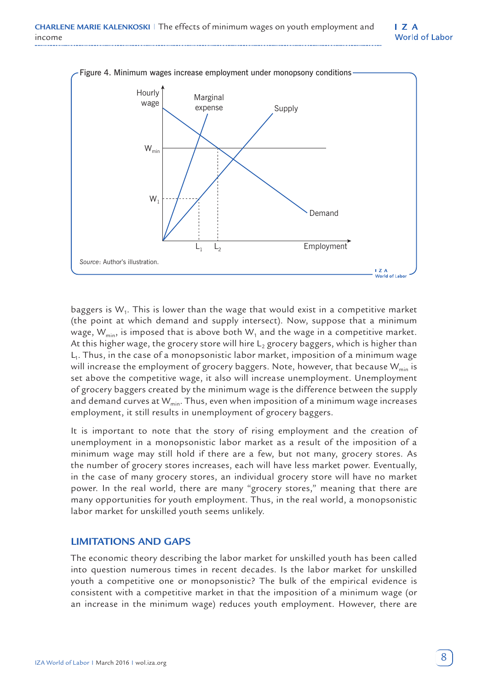$\overline{I}$  Z A **World of Labor** 



baggers is  $W_1$ . This is lower than the wage that would exist in a competitive market (the point at which demand and supply intersect). Now, suppose that a minimum wage,  $W_{min}$ , is imposed that is above both  $W_1$  and the wage in a competitive market. At this higher wage, the grocery store will hire  $L_2$  grocery baggers, which is higher than  $L<sub>1</sub>$ . Thus, in the case of a monopsonistic labor market, imposition of a minimum wage will increase the employment of grocery baggers. Note, however, that because  $W_{min}$  is set above the competitive wage, it also will increase unemployment. Unemployment of grocery baggers created by the minimum wage is the difference between the supply and demand curves at  $W_{min}$ . Thus, even when imposition of a minimum wage increases employment, it still results in unemployment of grocery baggers.

It is important to note that the story of rising employment and the creation of unemployment in a monopsonistic labor market as a result of the imposition of a minimum wage may still hold if there are a few, but not many, grocery stores. As the number of grocery stores increases, each will have less market power. Eventually, in the case of many grocery stores, an individual grocery store will have no market power. In the real world, there are many "grocery stores," meaning that there are many opportunities for youth employment. Thus, in the real world, a monopsonistic labor market for unskilled youth seems unlikely.

#### **LIMITATIONS AND GAPS**

The economic theory describing the labor market for unskilled youth has been called into question numerous times in recent decades. Is the labor market for unskilled youth a competitive one or monopsonistic? The bulk of the empirical evidence is consistent with a competitive market in that the imposition of a minimum wage (or an increase in the minimum wage) reduces youth employment. However, there are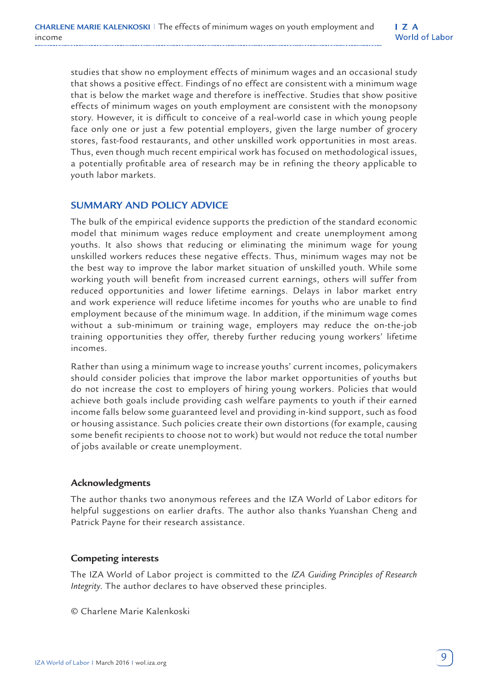studies that show no employment effects of minimum wages and an occasional study that shows a positive effect. Findings of no effect are consistent with a minimum wage that is below the market wage and therefore is ineffective. Studies that show positive effects of minimum wages on youth employment are consistent with the monopsony story. However, it is difficult to conceive of a real-world case in which young people face only one or just a few potential employers, given the large number of grocery stores, fast-food restaurants, and other unskilled work opportunities in most areas. Thus, even though much recent empirical work has focused on methodological issues, a potentially profitable area of research may be in refining the theory applicable to youth labor markets.

## **SUMMARY AND POLICY ADVICE**

The bulk of the empirical evidence supports the prediction of the standard economic model that minimum wages reduce employment and create unemployment among youths. It also shows that reducing or eliminating the minimum wage for young unskilled workers reduces these negative effects. Thus, minimum wages may not be the best way to improve the labor market situation of unskilled youth. While some working youth will benefit from increased current earnings, others will suffer from reduced opportunities and lower lifetime earnings. Delays in labor market entry and work experience will reduce lifetime incomes for youths who are unable to find employment because of the minimum wage. In addition, if the minimum wage comes without a sub-minimum or training wage, employers may reduce the on-the-job training opportunities they offer, thereby further reducing young workers' lifetime incomes.

Rather than using a minimum wage to increase youths' current incomes, policymakers should consider policies that improve the labor market opportunities of youths but do not increase the cost to employers of hiring young workers. Policies that would achieve both goals include providing cash welfare payments to youth if their earned income falls below some guaranteed level and providing in-kind support, such as food or housing assistance. Such policies create their own distortions (for example, causing some benefit recipients to choose not to work) but would not reduce the total number of jobs available or create unemployment.

#### **Acknowledgments**

The author thanks two anonymous referees and the IZA World of Labor editors for helpful suggestions on earlier drafts. The author also thanks Yuanshan Cheng and Patrick Payne for their research assistance.

## **Competing interests**

The IZA World of Labor project is committed to the *IZA Guiding Principles of Research Integrity*. The author declares to have observed these principles.

© Charlene Marie Kalenkoski